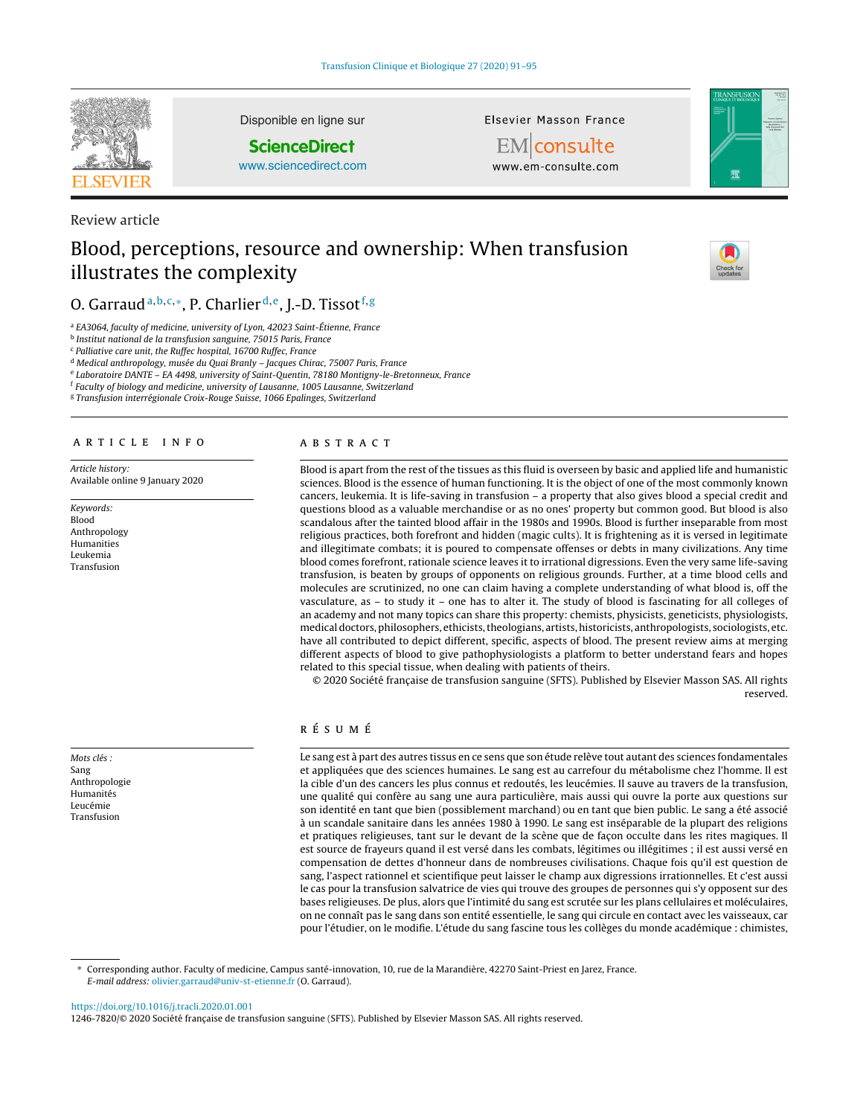

Disponible en ligne sur

# **ScienceDirect**

[www.sciencedirect.com](http://www.sciencedirect.com/science/journal/12467820)

Review article

# Blood, perceptions, resource and ownership: When transfusion illustrates the complexity

# O. Garraud<sup>a, b, c,∗</sup>, P. Charlier<sup>d, e</sup>, J.-D. Tissot<sup>f, g</sup>

<sup>a</sup> EA3064, faculty of medicine, university of Lyon, 42023 Saint-Étienne, France

<sup>b</sup> Institut national de la transfusion sanguine, 75015 Paris, France

<sup>c</sup> Palliative care unit, the Ruffec hospital, 16700 Ruffec, France

<sup>d</sup> Medical anthropology, musée du Quai Branly – Jacques Chirac, 75007 Paris, France

<sup>e</sup> Laboratoire DANTE – EA 4498, university of Saint-Quentin, 78180 Montigny-le-Bretonneux, France

<sup>f</sup> Faculty of biology and medicine, university of Lausanne, 1005 Lausanne, Switzerland

<sup>g</sup> Transfusion interrégionale Croix-Rouge Suisse, 1066 Epalinges, Switzerland

# a r t i c l e i n f o

Article history: Available online 9 January 2020

Keywords: Blood Anthropology Humanities Leukemia Transfusion

Mots clés : Sang Anthropologie Humanités Leucémie Transfusion

# A B S T R A C T

Blood is apart from the rest of the tissues as this fluid is overseen by basic and applied life and humanistic sciences. Blood is the essence of human functioning. It is the object of one of the most commonly known cancers, leukemia. It is life-saving in transfusion – a property that also gives blood a special credit and questions blood as a valuable merchandise or as no ones' property but common good. But blood is also scandalous after the tainted blood affair in the 1980s and 1990s. Blood is further inseparable from most religious practices, both forefront and hidden (magic cults). It is frightening as it is versed in legitimate and illegitimate combats; it is poured to compensate offenses or debts in many civilizations. Any time blood comes forefront, rationale science leaves it to irrational digressions. Even the very same life-saving transfusion, is beaten by groups of opponents on religious grounds. Further, at a time blood cells and molecules are scrutinized, no one can claim having a complete understanding of what blood is, off the vasculature, as – to study it – one has to alter it. The study of blood is fascinating for all colleges of an academy and not many topics can share this property: chemists, physicists, geneticists, physiologists, medicaldoctors,philosophers, ethicists,theologians, artists,historicists, anthropologists, sociologists, etc. have all contributed to depict different, specific, aspects of blood. The present review aims at merging different aspects of blood to give pathophysiologists a platform to better understand fears and hopes related to this special tissue, when dealing with patients of theirs.

Elsevier Masson France EM consulte www.em-consulte.com

© 2020 Société française de transfusion sanguine (SFTS). Published by Elsevier Masson SAS. All rights reserved.

# r é s u m é

Le sang est à part des autres tissus en ce sens que son étude relève tout autant des sciences fondamentales et appliquées que des sciences humaines. Le sang est au carrefour du métabolisme chez l'homme. Il est la cible d'un des cancers les plus connus et redoutés, les leucémies. Il sauve au travers de la transfusion, une qualité qui confère au sang une aura particulière, mais aussi qui ouvre la porte aux questions sur son identité en tant que bien (possiblement marchand) ou en tant que bien public. Le sang a été associé à un scandale sanitaire dans les années 1980 à 1990. Le sang est inséparable de la plupart des religions et pratiques religieuses, tant sur le devant de la scène que de façon occulte dans les rites magiques. Il est source de frayeurs quand il est versé dans les combats, légitimes ou illégitimes ; il est aussi versé en compensation de dettes d'honneur dans de nombreuses civilisations. Chaque fois qu'il est question de sang, l'aspect rationnel et scientifique peut laisser le champ aux digressions irrationnelles. Et c'est aussi le cas pour la transfusion salvatrice de vies qui trouve des groupes de personnes qui s'y opposent sur des bases religieuses. De plus, alors que l'intimité du sang est scrutée sur les plans cellulaires et moléculaires, on ne connaît pas le sang dans son entité essentielle, le sang qui circule en contact avec les vaisseaux, car pour l'étudier, on le modifie. L'étude du sang fascine tous les collèges du monde académique : chimistes,

∗ Corresponding author. Faculty of medicine, Campus santé-innovation, 10, rue de la Marandière, 42270 Saint-Priest en Jarez, France. E-mail address: [olivier.garraud@univ-st-etienne.fr](mailto:olivier.garraud@univ-st-etienne.fr) (O. Garraud).

<https://doi.org/10.1016/j.tracli.2020.01.001>

1246-7820/© 2020 Société française de transfusion sanguine (SFTS). Published by Elsevier Masson SAS. All rights reserved.



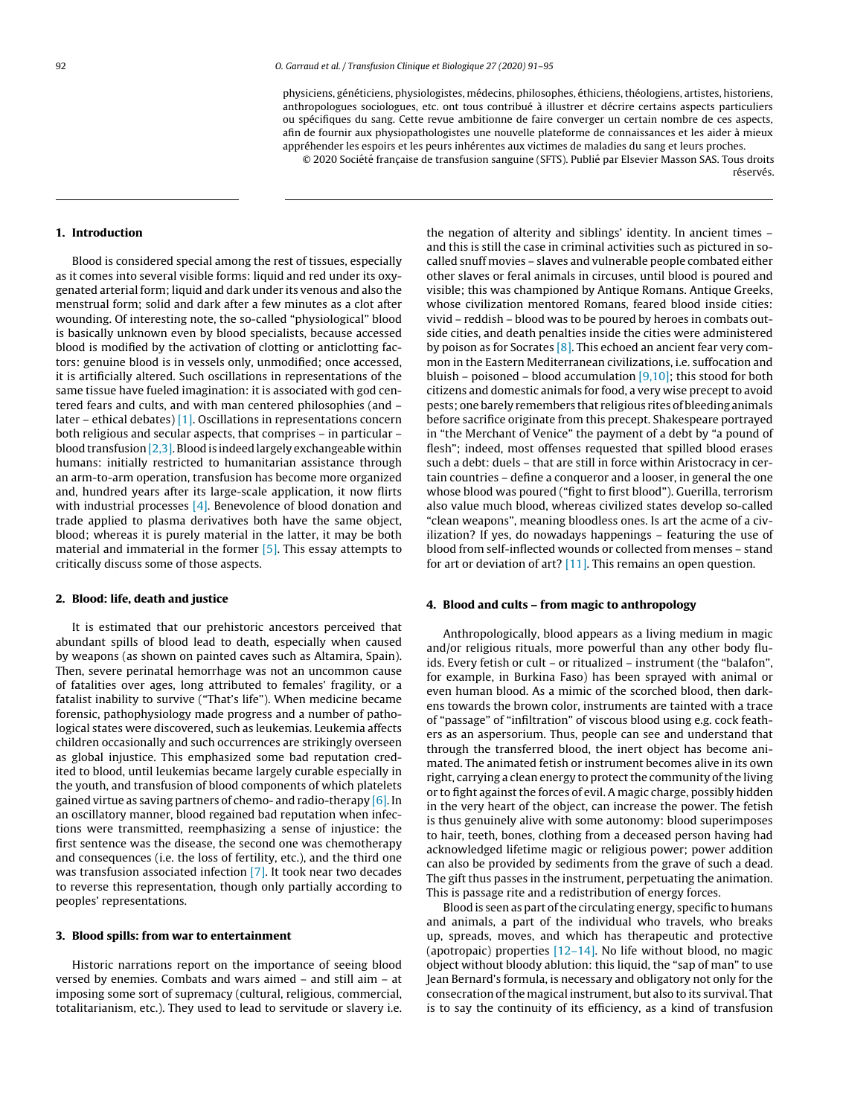physiciens, généticiens, physiologistes, médecins, philosophes, éthiciens, théologiens, artistes, historiens, anthropologues sociologues, etc. ont tous contribué à illustrer et décrire certains aspects particuliers ou spécifiques du sang. Cette revue ambitionne de faire converger un certain nombre de ces aspects, afin de fournir aux physiopathologistes une nouvelle plateforme de connaissances et les aider à mieux appréhender les espoirs et les peurs inhérentes aux victimes de maladies du sang et leurs proches.

© 2020 Société française de transfusion sanguine (SFTS). Publié par Elsevier Masson SAS. Tous droits réservés

#### **1. Introduction**

Blood is considered special among the rest of tissues, especially as it comes into several visible forms: liquid and red under its oxygenated arterial form; liquid and dark under its venous and also the menstrual form; solid and dark after a few minutes as a clot after wounding. Of interesting note, the so-called "physiological" blood is basically unknown even by blood specialists, because accessed blood is modified by the activation of clotting or anticlotting factors: genuine blood is in vessels only, unmodified; once accessed, it is artificially altered. Such oscillations in representations of the same tissue have fueled imagination: it is associated with god centered fears and cults, and with man centered philosophies (and – later – ethical debates) [\[1\].](#page-4-0) Oscillations in representations concern both religious and secular aspects, that comprises – in particular – blood transfusion  $[2,3]$ . Blood is indeed largely exchangeable within humans: initially restricted to humanitarian assistance through an arm-to-arm operation, transfusion has become more organized and, hundred years after its large-scale application, it now flirts with industrial processes [\[4\].](#page-4-0) Benevolence of blood donation and trade applied to plasma derivatives both have the same object, blood; whereas it is purely material in the latter, it may be both material and immaterial in the former [\[5\].](#page-4-0) This essay attempts to critically discuss some of those aspects.

#### **2. Blood: life, death and justice**

It is estimated that our prehistoric ancestors perceived that abundant spills of blood lead to death, especially when caused by weapons (as shown on painted caves such as Altamira, Spain). Then, severe perinatal hemorrhage was not an uncommon cause of fatalities over ages, long attributed to females' fragility, or a fatalist inability to survive ("That's life"). When medicine became forensic, pathophysiology made progress and a number of pathological states were discovered, such as leukemias. Leukemia affects children occasionally and such occurrences are strikingly overseen as global injustice. This emphasized some bad reputation credited to blood, until leukemias became largely curable especially in the youth, and transfusion of blood components of which platelets gained virtue as saving partners of chemo- and radio-therapy [\[6\].](#page-4-0) In an oscillatory manner, blood regained bad reputation when infections were transmitted, reemphasizing a sense of injustice: the first sentence was the disease, the second one was chemotherapy and consequences (i.e. the loss of fertility, etc.), and the third one was transfusion associated infection [\[7\].](#page-4-0) It took near two decades to reverse this representation, though only partially according to peoples' representations.

# **3. Blood spills: from war to entertainment**

Historic narrations report on the importance of seeing blood versed by enemies. Combats and wars aimed – and still aim – at imposing some sort of supremacy (cultural, religious, commercial, totalitarianism, etc.). They used to lead to servitude or slavery i.e.

the negation of alterity and siblings' identity. In ancient times – and this is still the case in criminal activities such as pictured in socalled snuff movies – slaves and vulnerable people combated either other slaves or feral animals in circuses, until blood is poured and visible; this was championed by Antique Romans. Antique Greeks, whose civilization mentored Romans, feared blood inside cities: vivid – reddish – blood was to be poured by heroes in combats outside cities, and death penalties inside the cities were administered by poison as for Socrates  $[8]$ . This echoed an ancient fear very common in the Eastern Mediterranean civilizations, i.e. suffocation and bluish – poisoned – blood accumulation  $[9,10]$ ; this stood for both citizens and domestic animals for food, a very wise precept to avoid pests; one barely remembers that religious rites of bleeding animals before sacrifice originate from this precept. Shakespeare portrayed in "the Merchant of Venice" the payment of a debt by "a pound of flesh"; indeed, most offenses requested that spilled blood erases such a debt: duels – that are still in force within Aristocracy in certain countries – define a conqueror and a looser, in general the one whose blood was poured ("fight to first blood"). Guerilla, terrorism also value much blood, whereas civilized states develop so-called "clean weapons", meaning bloodless ones. Is art the acme of a civilization? If yes, do nowadays happenings – featuring the use of blood from self-inflected wounds or collected from menses – stand for art or deviation of art?  $[11]$ . This remains an open question.

### **4. Blood and cults – from magic to anthropology**

Anthropologically, blood appears as a living medium in magic and/or religious rituals, more powerful than any other body fluids. Every fetish or cult – or ritualized – instrument (the "balafon", for example, in Burkina Faso) has been sprayed with animal or even human blood. As a mimic of the scorched blood, then darkens towards the brown color, instruments are tainted with a trace of "passage" of "infiltration" of viscous blood using e.g. cock feathers as an aspersorium. Thus, people can see and understand that through the transferred blood, the inert object has become animated. The animated fetish or instrument becomes alive in its own right, carrying a clean energy to protect the community of the living or to fight against the forces of evil. A magic charge, possibly hidden in the very heart of the object, can increase the power. The fetish is thus genuinely alive with some autonomy: blood superimposes to hair, teeth, bones, clothing from a deceased person having had acknowledged lifetime magic or religious power; power addition can also be provided by sediments from the grave of such a dead. The gift thus passes in the instrument, perpetuating the animation. This is passage rite and a redistribution of energy forces.

Blood is seen as part of the circulating energy, specific to humans and animals, a part of the individual who travels, who breaks up, spreads, moves, and which has therapeutic and protective (apotropaic) properties [\[12–14\].](#page-4-0) No life without blood, no magic object without bloody ablution: this liquid, the "sap of man" to use Jean Bernard's formula, is necessary and obligatory not only for the consecration of the magical instrument, but also to its survival. That is to say the continuity of its efficiency, as a kind of transfusion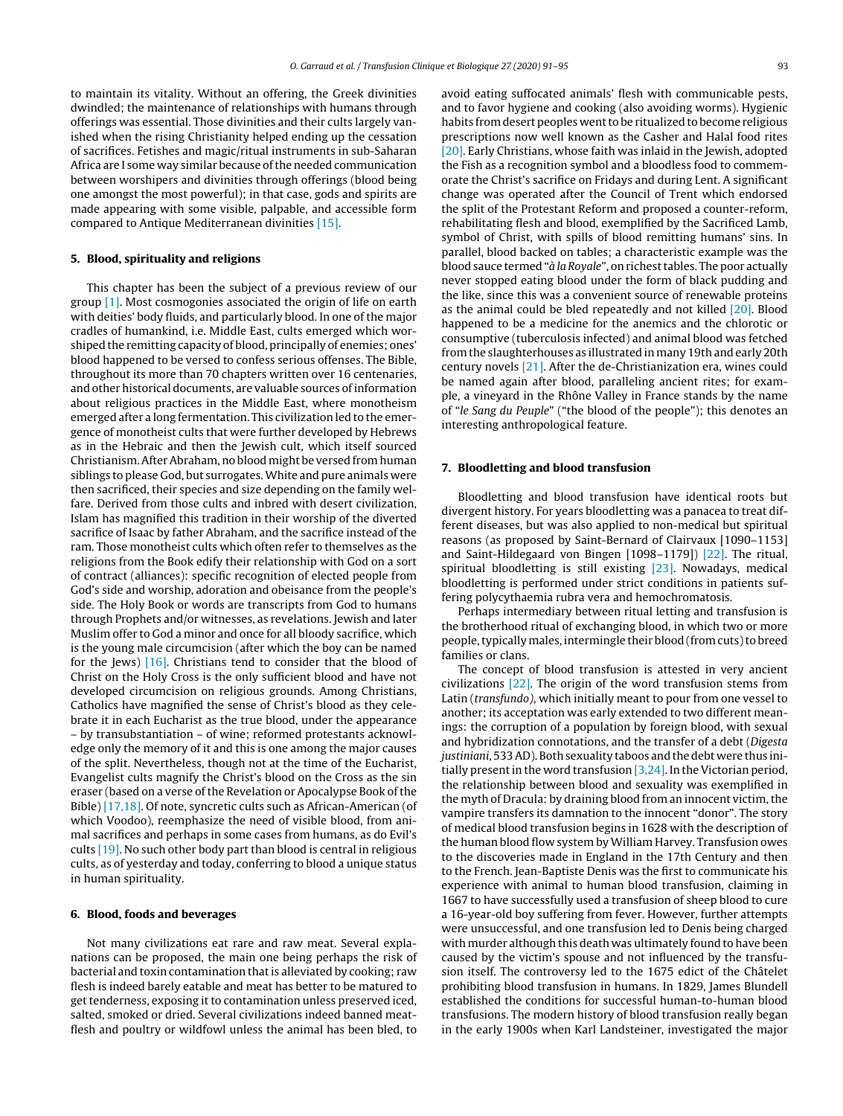to maintain its vitality. Without an offering, the Greek divinities dwindled; the maintenance of relationships with humans through offerings was essential. Those divinities and their cults largely vanished when the rising Christianity helped ending up the cessation of sacrifices. Fetishes and magic/ritual instruments in sub-Saharan Africa are I some way similar because of the needed communication between worshipers and divinities through offerings (blood being one amongst the most powerful); in that case, gods and spirits are made appearing with some visible, palpable, and accessible form compared to Antique Mediterranean divinities [\[15\].](#page-4-0)

# **5. Blood, spirituality and religions**

This chapter has been the subject of a previous review of our group [\[1\].](#page-4-0) Most cosmogonies associated the origin of life on earth with deities' body fluids, and particularly blood. In one of the major cradles of humankind, i.e. Middle East, cults emerged which worshiped the remitting capacity of blood, principally of enemies; ones' blood happened to be versed to confess serious offenses. The Bible, throughout its more than 70 chapters written over 16 centenaries, and other historical documents, are valuable sources ofinformation about religious practices in the Middle East, where monotheism emerged after a long fermentation. This civilization led to the emergence of monotheist cults that were further developed by Hebrews as in the Hebraic and then the Jewish cult, which itself sourced Christianism.AfterAbraham,no bloodmight be versed fromhuman siblings to please God, but surrogates.White and pure animals were then sacrificed, their species and size depending on the family welfare. Derived from those cults and inbred with desert civilization, Islam has magnified this tradition in their worship of the diverted sacrifice of Isaac by father Abraham, and the sacrifice instead of the ram. Those monotheist cults which often refer to themselves as the religions from the Book edify their relationship with God on a sort of contract (alliances): specific recognition of elected people from God's side and worship, adoration and obeisance from the people's side. The Holy Book or words are transcripts from God to humans through Prophets and/or witnesses, as revelations. Jewish and later Muslim offer to God a minor and once for all bloody sacrifice, which is the young male circumcision (after which the boy can be named for the Jews) [\[16\].](#page-4-0) Christians tend to consider that the blood of Christ on the Holy Cross is the only sufficient blood and have not developed circumcision on religious grounds. Among Christians, Catholics have magnified the sense of Christ's blood as they celebrate it in each Eucharist as the true blood, under the appearance – by transubstantiation – of wine; reformed protestants acknowledge only the memory of it and this is one among the major causes of the split. Nevertheless, though not at the time of the Eucharist, Evangelist cults magnify the Christ's blood on the Cross as the sin eraser (based on a verse of the Revelation or Apocalypse Book of the Bible) [\[17,18\].](#page-4-0) Of note, syncretic cults such as African-American (of which Voodoo), reemphasize the need of visible blood, from animal sacrifices and perhaps in some cases from humans, as do Evil's cults [\[19\].](#page-4-0) No such other body part than blood is central in religious cults, as of yesterday and today, conferring to blood a unique status in human spirituality.

#### **6. Blood, foods and beverages**

Not many civilizations eat rare and raw meat. Several explanations can be proposed, the main one being perhaps the risk of bacterial and toxin contamination thatis alleviated by cooking; raw flesh is indeed barely eatable and meat has better to be matured to get tenderness, exposing it to contamination unless preserved iced, salted, smoked or dried. Several civilizations indeed banned meatflesh and poultry or wildfowl unless the animal has been bled, to avoid eating suffocated animals' flesh with communicable pests, and to favor hygiene and cooking (also avoiding worms). Hygienic habits from desert peoples went to be ritualized to become religious prescriptions now well known as the Casher and Halal food rites [\[20\].](#page-4-0) Early Christians, whose faith was inlaid in the Jewish, adopted the Fish as a recognition symbol and a bloodless food to commemorate the Christ's sacrifice on Fridays and during Lent. A significant change was operated after the Council of Trent which endorsed the split of the Protestant Reform and proposed a counter-reform, rehabilitating flesh and blood, exemplified by the Sacrificed Lamb, symbol of Christ, with spills of blood remitting humans' sins. In parallel, blood backed on tables; a characteristic example was the blood sauce termed "à la Royale", on richest tables. The poor actually never stopped eating blood under the form of black pudding and the like, since this was a convenient source of renewable proteins as the animal could be bled repeatedly and not killed [\[20\].](#page-4-0) Blood happened to be a medicine for the anemics and the chlorotic or consumptive (tuberculosis infected) and animal blood was fetched from the slaughterhouses as illustrated in many 19th and early 20th century novels [\[21\].](#page-4-0) After the de-Christianization era, wines could be named again after blood, paralleling ancient rites; for example, a vineyard in the Rhône Valley in France stands by the name of "le Sang du Peuple" ("the blood of the people"); this denotes an interesting anthropological feature.

# **7. Bloodletting and blood transfusion**

Bloodletting and blood transfusion have identical roots but divergent history. For years bloodletting was a panacea to treat different diseases, but was also applied to non-medical but spiritual reasons (as proposed by Saint-Bernard of Clairvaux [1090–1153] and Saint-Hildegaard von Bingen [1098–1179]) [\[22\].](#page-4-0) The ritual, spiritual bloodletting is still existing [\[23\].](#page-4-0) Nowadays, medical bloodletting is performed under strict conditions in patients suffering polycythaemia rubra vera and hemochromatosis.

Perhaps intermediary between ritual letting and transfusion is the brotherhood ritual of exchanging blood, in which two or more people, typically males, intermingle their blood (from cuts) to breed families or clans.

The concept of blood transfusion is attested in very ancient civilizations [\[22\].](#page-4-0) The origin of the word transfusion stems from Latin (transfundo), which initially meant to pour from one vessel to another; its acceptation was early extended to two different meanings: the corruption of a population by foreign blood, with sexual and hybridization connotations, and the transfer of a debt (Digesta justiniani, 533 AD). Both sexuality taboos and the debt were thus initially present in the word transfusion  $[3,24]$ . In the Victorian period, the relationship between blood and sexuality was exemplified in the myth of Dracula: by draining blood from an innocent victim, the vampire transfers its damnation to the innocent "donor". The story of medical blood transfusion begins in 1628 with the description of the human blood flow system by William Harvey. Transfusion owes to the discoveries made in England in the 17th Century and then to the French. Jean-Baptiste Denis was the first to communicate his experience with animal to human blood transfusion, claiming in 1667 to have successfully used a transfusion of sheep blood to cure a 16-year-old boy suffering from fever. However, further attempts were unsuccessful, and one transfusion led to Denis being charged with murder although this death was ultimately found to have been caused by the victim's spouse and not influenced by the transfusion itself. The controversy led to the 1675 edict of the Châtelet prohibiting blood transfusion in humans. In 1829, James Blundell established the conditions for successful human-to-human blood transfusions. The modern history of blood transfusion really began in the early 1900s when Karl Landsteiner, investigated the major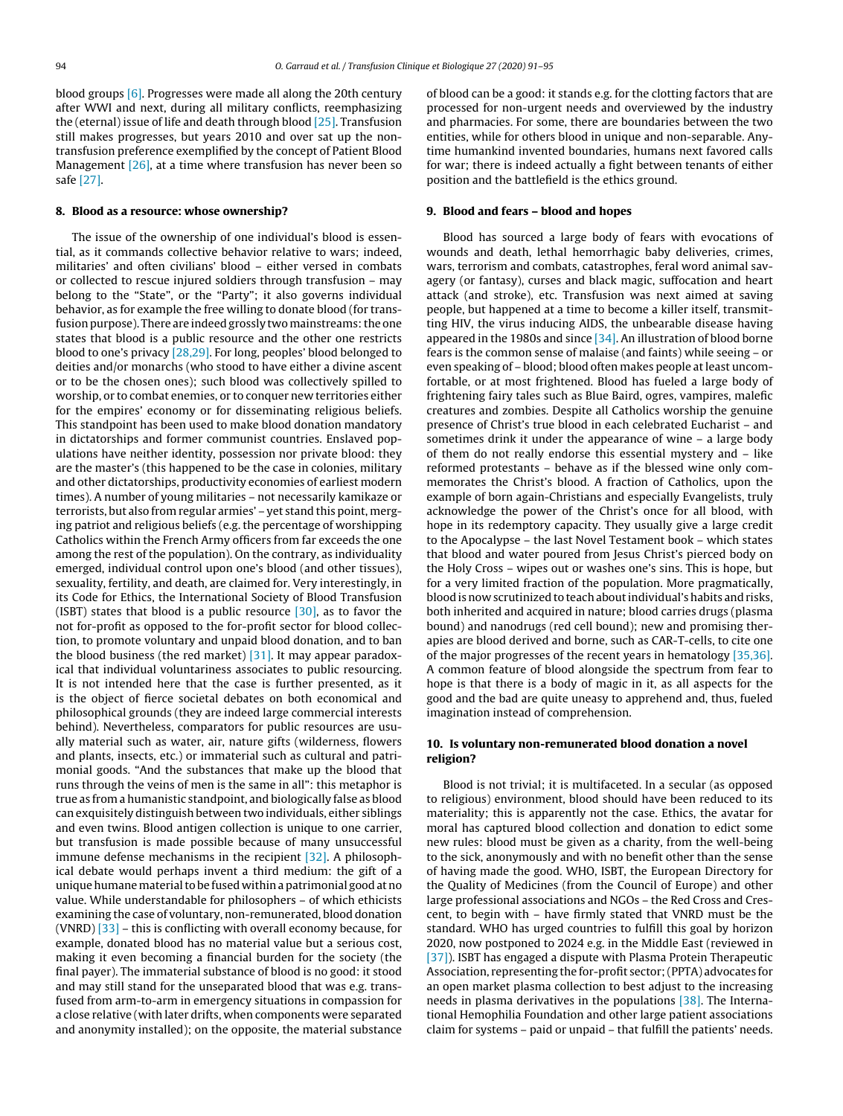blood groups [\[6\].](#page-4-0) Progresses were made all along the 20th century after WWI and next, during all military conflicts, reemphasizing the (eternal) issue of life and death through blood [\[25\].](#page-4-0) Transfusion still makes progresses, but years 2010 and over sat up the nontransfusion preference exemplified by the concept of Patient Blood Management  $[26]$ , at a time where transfusion has never been so safe [\[27\].](#page-4-0)

#### **8. Blood as a resource: whose ownership?**

The issue of the ownership of one individual's blood is essential, as it commands collective behavior relative to wars; indeed, militaries' and often civilians' blood – either versed in combats or collected to rescue injured soldiers through transfusion – may belong to the "State", or the "Party"; it also governs individual behavior, as for example the free willing to donate blood (for transfusion purpose). There are indeed grossly two mainstreams: the one states that blood is a public resource and the other one restricts blood to one's privacy [\[28,29\].](#page-4-0) For long, peoples' blood belonged to deities and/or monarchs (who stood to have either a divine ascent or to be the chosen ones); such blood was collectively spilled to worship, or to combat enemies, or to conquer new territories either for the empires' economy or for disseminating religious beliefs. This standpoint has been used to make blood donation mandatory in dictatorships and former communist countries. Enslaved populations have neither identity, possession nor private blood: they are the master's (this happened to be the case in colonies, military and other dictatorships, productivity economies of earliest modern times). A number of young militaries – not necessarily kamikaze or terrorists, but also from regular armies' – yet stand this point, merging patriot and religious beliefs (e.g. the percentage of worshipping Catholics within the French Army officers from far exceeds the one among the rest of the population). On the contrary, as individuality emerged, individual control upon one's blood (and other tissues), sexuality, fertility, and death, are claimed for. Very interestingly, in its Code for Ethics, the International Society of Blood Transfusion (ISBT) states that blood is a public resource  $[30]$ , as to favor the not for-profit as opposed to the for-profit sector for blood collection, to promote voluntary and unpaid blood donation, and to ban the blood business (the red market) [\[31\].](#page-4-0) It may appear paradoxical that individual voluntariness associates to public resourcing. It is not intended here that the case is further presented, as it is the object of fierce societal debates on both economical and philosophical grounds (they are indeed large commercial interests behind). Nevertheless, comparators for public resources are usually material such as water, air, nature gifts (wilderness, flowers and plants, insects, etc.) or immaterial such as cultural and patrimonial goods. "And the substances that make up the blood that runs through the veins of men is the same in all": this metaphor is true as from a humanistic standpoint, and biologically false as blood can exquisitely distinguish between two individuals, either siblings and even twins. Blood antigen collection is unique to one carrier, but transfusion is made possible because of many unsuccessful immune defense mechanisms in the recipient [\[32\].](#page-4-0) A philosophical debate would perhaps invent a third medium: the gift of a unique humane material to be fused within a patrimonial good at no value. While understandable for philosophers – of which ethicists examining the case of voluntary, non-remunerated, blood donation (VNRD) [\[33\]](#page-4-0) – this is conflicting with overall economy because, for example, donated blood has no material value but a serious cost, making it even becoming a financial burden for the society (the final payer). The immaterial substance of blood is no good: it stood and may still stand for the unseparated blood that was e.g. transfused from arm-to-arm in emergency situations in compassion for a close relative (with later drifts, when components were separated and anonymity installed); on the opposite, the material substance of blood can be a good: it stands e.g. for the clotting factors that are processed for non-urgent needs and overviewed by the industry and pharmacies. For some, there are boundaries between the two entities, while for others blood in unique and non-separable. Anytime humankind invented boundaries, humans next favored calls for war; there is indeed actually a fight between tenants of either position and the battlefield is the ethics ground.

#### **9. Blood and fears – blood and hopes**

Blood has sourced a large body of fears with evocations of wounds and death, lethal hemorrhagic baby deliveries, crimes, wars, terrorism and combats, catastrophes, feral word animal savagery (or fantasy), curses and black magic, suffocation and heart attack (and stroke), etc. Transfusion was next aimed at saving people, but happened at a time to become a killer itself, transmitting HIV, the virus inducing AIDS, the unbearable disease having appeared in the 1980s and since  $[34]$ . An illustration of blood borne fears is the common sense of malaise (and faints) while seeing – or even speaking of – blood; blood often makes people at least uncomfortable, or at most frightened. Blood has fueled a large body of frightening fairy tales such as Blue Baird, ogres, vampires, malefic creatures and zombies. Despite all Catholics worship the genuine presence of Christ's true blood in each celebrated Eucharist – and sometimes drink it under the appearance of wine – a large body of them do not really endorse this essential mystery and – like reformed protestants – behave as if the blessed wine only commemorates the Christ's blood. A fraction of Catholics, upon the example of born again-Christians and especially Evangelists, truly acknowledge the power of the Christ's once for all blood, with hope in its redemptory capacity. They usually give a large credit to the Apocalypse – the last Novel Testament book – which states that blood and water poured from Jesus Christ's pierced body on the Holy Cross – wipes out or washes one's sins. This is hope, but for a very limited fraction of the population. More pragmatically, blood is now scrutinized to teach about individual's habits and risks, both inherited and acquired in nature; blood carries drugs (plasma bound) and nanodrugs (red cell bound); new and promising therapies are blood derived and borne, such as CAR-T-cells, to cite one of the major progresses of the recent years in hematology [\[35,36\].](#page-4-0) A common feature of blood alongside the spectrum from fear to hope is that there is a body of magic in it, as all aspects for the good and the bad are quite uneasy to apprehend and, thus, fueled imagination instead of comprehension.

# **10. Is voluntary non-remunerated blood donation a novel religion?**

Blood is not trivial; it is multifaceted. In a secular (as opposed to religious) environment, blood should have been reduced to its materiality; this is apparently not the case. Ethics, the avatar for moral has captured blood collection and donation to edict some new rules: blood must be given as a charity, from the well-being to the sick, anonymously and with no benefit other than the sense of having made the good. WHO, ISBT, the European Directory for the Quality of Medicines (from the Council of Europe) and other large professional associations and NGOs – the Red Cross and Crescent, to begin with – have firmly stated that VNRD must be the standard. WHO has urged countries to fulfill this goal by horizon 2020, now postponed to 2024 e.g. in the Middle East (reviewed in [\[37\]\).](#page-4-0) ISBT has engaged a dispute with Plasma Protein Therapeutic Association, representing the for-profit sector;(PPTA) advocates for an open market plasma collection to best adjust to the increasing needs in plasma derivatives in the populations [\[38\].](#page-4-0) The International Hemophilia Foundation and other large patient associations claim for systems – paid or unpaid – that fulfill the patients' needs.